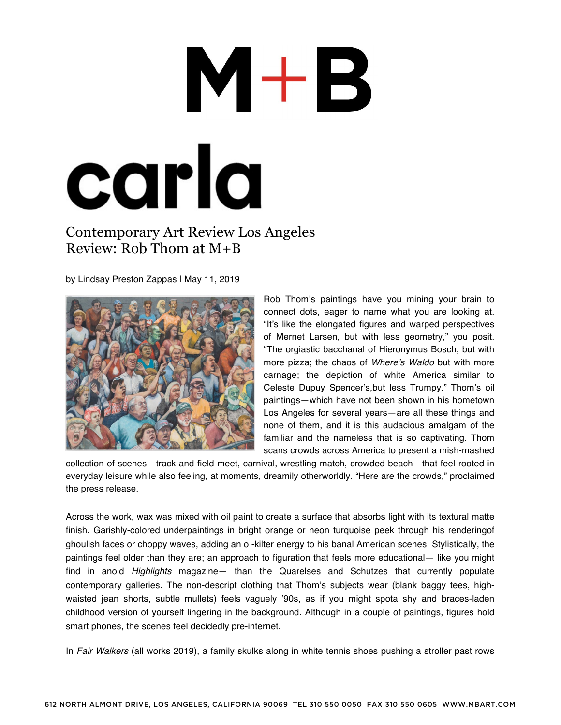## M+B carla

## Contemporary Art Review Los Angeles Review: Rob Thom at M+B

by Lindsay Preston Zappas | May 11, 2019



Rob Thom's paintings have you mining your brain to connect dots, eager to name what you are looking at. "It's like the elongated figures and warped perspectives of Mernet Larsen, but with less geometry," you posit. "The orgiastic bacchanal of Hieronymus Bosch, but with more pizza; the chaos of *Where's Waldo* but with more carnage; the depiction of white America similar to Celeste Dupuy Spencer's,but less Trumpy." Thom's oil paintings—which have not been shown in his hometown Los Angeles for several years—are all these things and none of them, and it is this audacious amalgam of the familiar and the nameless that is so captivating. Thom scans crowds across America to present a mish-mashed

collection of scenes—track and field meet, carnival, wrestling match, crowded beach—that feel rooted in everyday leisure while also feeling, at moments, dreamily otherworldly. "Here are the crowds," proclaimed the press release.

Across the work, wax was mixed with oil paint to create a surface that absorbs light with its textural matte finish. Garishly-colored underpaintings in bright orange or neon turquoise peek through his renderingof ghoulish faces or choppy waves, adding an o -kilter energy to his banal American scenes. Stylistically, the paintings feel older than they are; an approach to figuration that feels more educational— like you might find in anold *Highlights* magazine— than the Quarelses and Schutzes that currently populate contemporary galleries. The non-descript clothing that Thom's subjects wear (blank baggy tees, highwaisted jean shorts, subtle mullets) feels vaguely '90s, as if you might spota shy and braces-laden childhood version of yourself lingering in the background. Although in a couple of paintings, figures hold smart phones, the scenes feel decidedly pre-internet.

In *Fair Walkers* (all works 2019), a family skulks along in white tennis shoes pushing a stroller past rows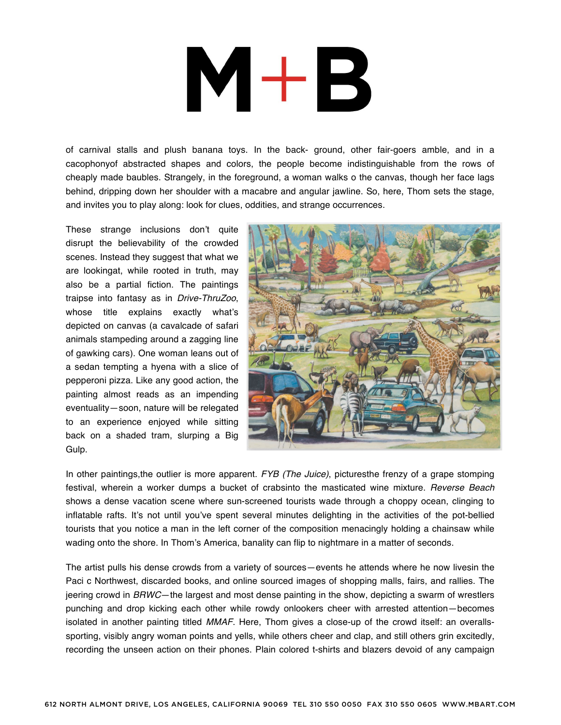## $M+B$

of carnival stalls and plush banana toys. In the back- ground, other fair-goers amble, and in a cacophonyof abstracted shapes and colors, the people become indistinguishable from the rows of cheaply made baubles. Strangely, in the foreground, a woman walks o the canvas, though her face lags behind, dripping down her shoulder with a macabre and angular jawline. So, here, Thom sets the stage, and invites you to play along: look for clues, oddities, and strange occurrences.

These strange inclusions don't quite disrupt the believability of the crowded scenes. Instead they suggest that what we are lookingat, while rooted in truth, may also be a partial fiction. The paintings traipse into fantasy as in *Drive-ThruZoo*, whose title explains exactly what's depicted on canvas (a cavalcade of safari animals stampeding around a zagging line of gawking cars). One woman leans out of a sedan tempting a hyena with a slice of pepperoni pizza. Like any good action, the painting almost reads as an impending eventuality—soon, nature will be relegated to an experience enjoyed while sitting back on a shaded tram, slurping a Big Gulp.



In other paintings,the outlier is more apparent. *FYB (The Juice)*, picturesthe frenzy of a grape stomping festival, wherein a worker dumps a bucket of crabsinto the masticated wine mixture. *Reverse Beach*  shows a dense vacation scene where sun-screened tourists wade through a choppy ocean, clinging to inflatable rafts. It's not until you've spent several minutes delighting in the activities of the pot-bellied tourists that you notice a man in the left corner of the composition menacingly holding a chainsaw while wading onto the shore. In Thom's America, banality can flip to nightmare in a matter of seconds.

The artist pulls his dense crowds from a variety of sources—events he attends where he now livesin the Paci c Northwest, discarded books, and online sourced images of shopping malls, fairs, and rallies. The jeering crowd in *BRWC*—the largest and most dense painting in the show, depicting a swarm of wrestlers punching and drop kicking each other while rowdy onlookers cheer with arrested attention—becomes isolated in another painting titled *MMAF*. Here, Thom gives a close-up of the crowd itself: an overallssporting, visibly angry woman points and yells, while others cheer and clap, and still others grin excitedly, recording the unseen action on their phones. Plain colored t-shirts and blazers devoid of any campaign